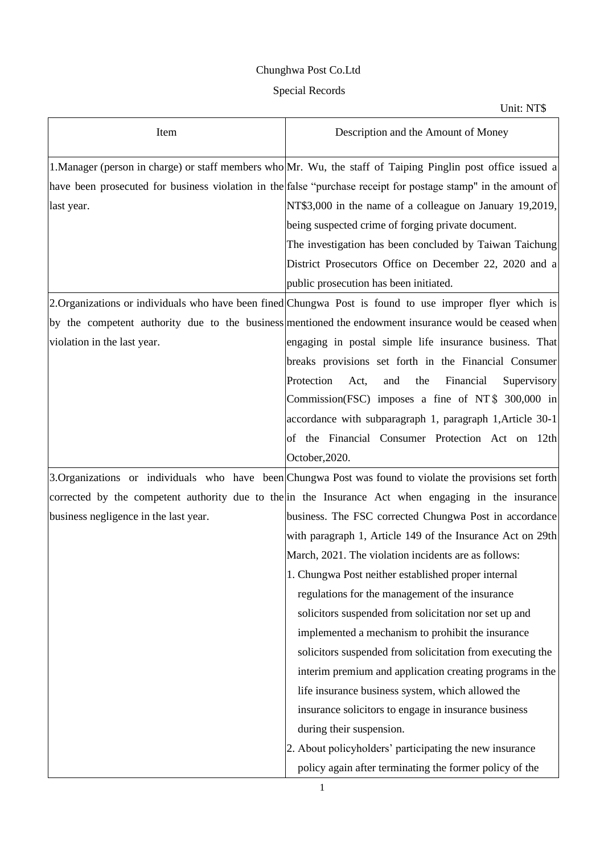## Chunghwa Post Co.Ltd

## Special Records

Unit: NT\$

| Item                                  | Description and the Amount of Money                                                                            |
|---------------------------------------|----------------------------------------------------------------------------------------------------------------|
|                                       | 1. Manager (person in charge) or staff members who Mr. Wu, the staff of Taiping Pinglin post office issued a   |
|                                       | have been prosecuted for business violation in the false "purchase receipt for postage stamp" in the amount of |
| last year.                            | NT\$3,000 in the name of a colleague on January 19,2019,                                                       |
|                                       | being suspected crime of forging private document.                                                             |
|                                       | The investigation has been concluded by Taiwan Taichung                                                        |
|                                       | District Prosecutors Office on December 22, 2020 and a                                                         |
|                                       | public prosecution has been initiated.                                                                         |
|                                       | 2. Organizations or individuals who have been fined Chungwa Post is found to use improper flyer which is       |
|                                       | by the competent authority due to the business mentioned the endowment insurance would be ceased when          |
| violation in the last year.           | engaging in postal simple life insurance business. That                                                        |
|                                       | breaks provisions set forth in the Financial Consumer                                                          |
|                                       | Protection<br>Financial<br>Act,<br>and<br>the<br>Supervisory                                                   |
|                                       | Commission(FSC) imposes a fine of NT $$300,000$ in                                                             |
|                                       | accordance with subparagraph 1, paragraph 1, Article 30-1                                                      |
|                                       | of the Financial Consumer Protection Act on 12th                                                               |
|                                       | October, 2020.                                                                                                 |
|                                       | 3. Organizations or individuals who have been Chungwa Post was found to violate the provisions set forth       |
|                                       | corrected by the competent authority due to the in the Insurance Act when engaging in the insurance            |
| business negligence in the last year. | business. The FSC corrected Chungwa Post in accordance                                                         |
|                                       | with paragraph 1, Article 149 of the Insurance Act on 29th                                                     |
|                                       | March, 2021. The violation incidents are as follows:                                                           |
|                                       | 1. Chungwa Post neither established proper internal                                                            |
|                                       | regulations for the management of the insurance                                                                |
|                                       | solicitors suspended from solicitation nor set up and                                                          |
|                                       | implemented a mechanism to prohibit the insurance                                                              |
|                                       | solicitors suspended from solicitation from executing the                                                      |
|                                       | interim premium and application creating programs in the                                                       |
|                                       | life insurance business system, which allowed the                                                              |
|                                       | insurance solicitors to engage in insurance business                                                           |
|                                       | during their suspension.                                                                                       |
|                                       | 2. About policyholders' participating the new insurance                                                        |
|                                       | policy again after terminating the former policy of the                                                        |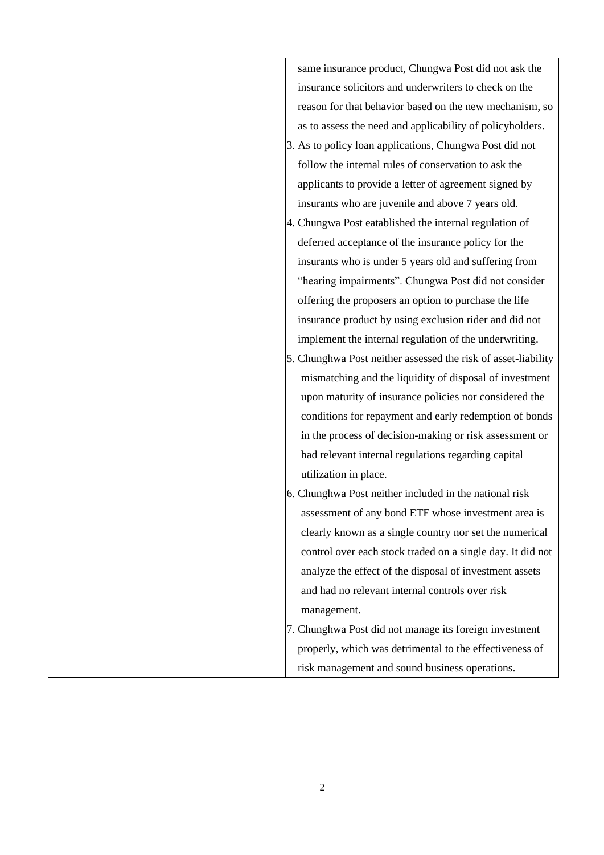same insurance product, Chungwa Post did not ask the insurance solicitors and underwriters to check on the reason for that behavior based on the new mechanism, so as to assess the need and applicability of policyholders.

- 3. As to policy loan applications, Chungwa Post did not follow the internal rules of conservation to ask the applicants to provide a letter of agreement signed by insurants who are juvenile and above 7 years old.
- 4. Chungwa Post eatablished the internal regulation of deferred acceptance of the insurance policy for the insurants who is under 5 years old and suffering from "hearing impairments". Chungwa Post did not consider offering the proposers an option to purchase the life insurance product by using exclusion rider and did not implement the internal regulation of the underwriting.
- 5. Chunghwa Post neither assessed the risk of asset-liability mismatching and the liquidity of disposal of investment upon maturity of insurance policies nor considered the conditions for repayment and early redemption of bonds in the process of decision-making or risk assessment or had relevant internal regulations regarding capital utilization in place.
- 6. Chunghwa Post neither included in the national risk assessment of any bond ETF whose investment area is clearly known as a single country nor set the numerical control over each stock traded on a single day. It did not analyze the effect of the disposal of investment assets and had no relevant internal controls over risk management.
- 7. Chunghwa Post did not manage its foreign investment properly, which was detrimental to the effectiveness of risk management and sound business operations.